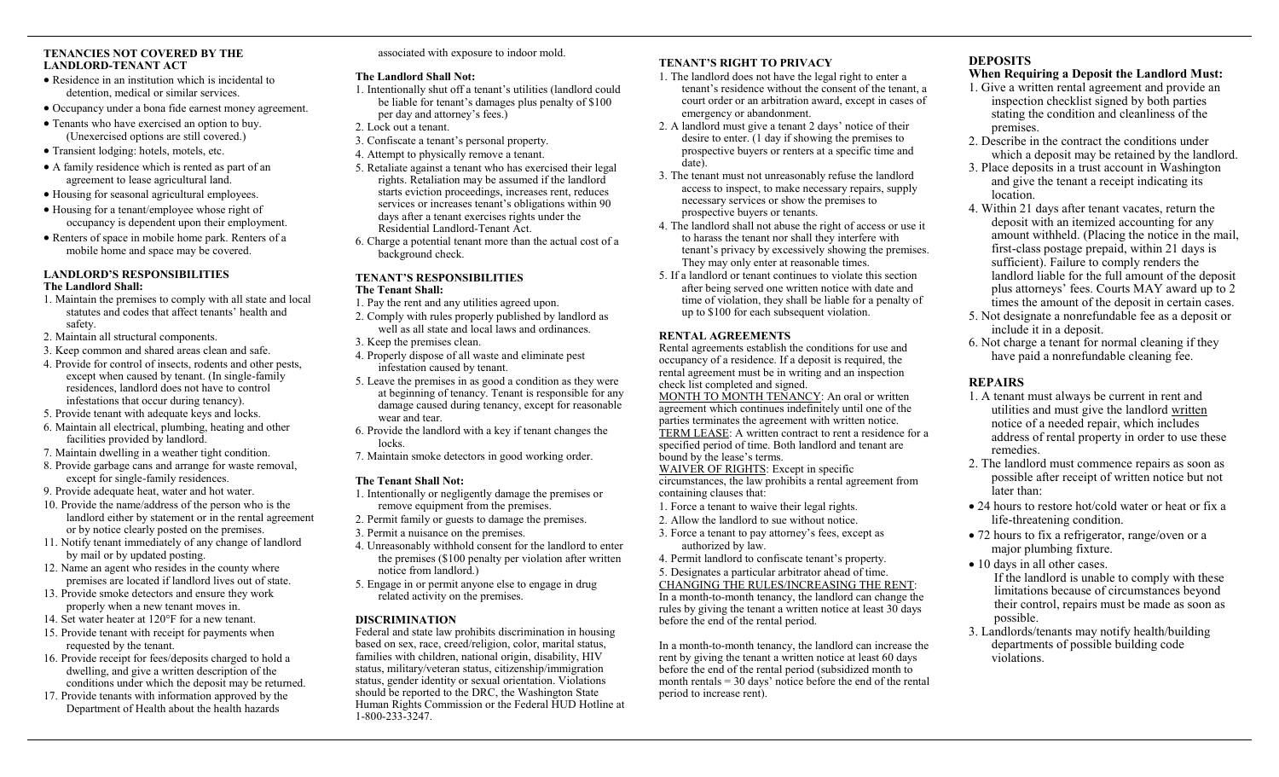### **TENANCIES NOT COVERED BY THE LANDLORD-TENANT ACT**

- Residence in an institution which is incidental to detention, medical or similar services.
- Occupancy under a bona fide earnest money agreement.
- Tenants who have exercised an option to buy. (Unexercised options are still covered.)
- Transient lodging: hotels, motels, etc.
- A family residence which is rented as part of an agreement to lease agricultural land.
- Housing for seasonal agricultural employees.
- Housing for a tenant/employee whose right of occupancy is dependent upon their employment.
- Renters of space in mobile home park. Renters of a mobile home and space may be covered.

# **LANDLORD'S RESPONSIBILITIES The Landlord Shall:**

- 1. Maintain the premises to comply with all state and local statutes and codes that affect tenants' health and safety.
- 2. Maintain all structural components.
- 3. Keep common and shared areas clean and safe.
- 4. Provide for control of insects, rodents and other pests, except when caused by tenant. (In single-family residences, landlord does not have to control infestations that occur during tenancy).
- 5. Provide tenant with adequate keys and locks.
- 6. Maintain all electrical, plumbing, heating and other facilities provided by landlord.
- 7. Maintain dwelling in a weather tight condition.
- 8. Provide garbage cans and arrange for waste removal, except for single-family residences.
- 9. Provide adequate heat, water and hot water.
- 10. Provide the name/address of the person who is the landlord either by statement or in the rental agreement or by notice clearly posted on the premises.
- 11. Notify tenant immediately of any change of landlord by mail or by updated posting.
- 12. Name an agent who resides in the county where premises are located if landlord lives out of state.
- 13. Provide smoke detectors and ensure they work properly when a new tenant moves in.
- 14. Set water heater at 120°F for a new tenant.
- 15. Provide tenant with receipt for payments when requested by the tenant.
- 16. Provide receipt for fees/deposits charged to hold a dwelling, and give a written description of the conditions under which the deposit may be returned.
- 17. Provide tenants with information approved by the Department of Health about the health hazards

associated with exposure to indoor mold.

### **The Landlord Shall Not:**

- 1. Intentionally shut off a tenant's utilities (landlord could be liable for tenant's damages plus penalty of \$100 per day and attorney's fees.)
- 2. Lock out a tenant.
- 3. Confiscate a tenant's personal property.
- 4. Attempt to physically remove a tenant.
- 5. Retaliate against a tenant who has exercised their legal rights. Retaliation may be assumed if the landlord starts eviction proceedings, increases rent, reduces services or increases tenant's obligations within 90 days after a tenant exercises rights under the Residential Landlord-Tenant Act.
- 6. Charge a potential tenant more than the actual cost of a background check.

#### **TENANT'S RESPONSIBILITIES The Tenant Shall:**

- 1. Pay the rent and any utilities agreed upon.
- 2. Comply with rules properly published by landlord as well as all state and local laws and ordinances.
- 3. Keep the premises clean.
- 4. Properly dispose of all waste and eliminate pest infestation caused by tenant.
- 5. Leave the premises in as good a condition as they were at beginning of tenancy. Tenant is responsible for any damage caused during tenancy, except for reasonable wear and tear.
- 6. Provide the landlord with a key if tenant changes the locks.
- 7. Maintain smoke detectors in good working order.

# **The Tenant Shall Not:**

- 1. Intentionally or negligently damage the premises or remove equipment from the premises.
- 2. Permit family or guests to damage the premises.
- 3. Permit a nuisance on the premises.
- 4. Unreasonably withhold consent for the landlord to enter the premises (\$100 penalty per violation after written notice from landlord.)
- 5. Engage in or permit anyone else to engage in drug related activity on the premises.

# **DISCRIMINATION**

Federal and state law prohibits discrimination in housing based on sex, race, creed/religion, color, marital status, families with children, national origin, disability, HIV status, military/veteran status, citizenship/immigration status, gender identity or sexual orientation. Violations should be reported to the DRC, the Washington State Human Rights Commission or the Federal HUD Hotline at 1-800-233-3247.

# **TENANT'S RIGHT TO PRIVACY**

- 1. The landlord does not have the legal right to enter a tenant's residence without the consent of the tenant, a court order or an arbitration award, except in cases of emergency or abandonment.
- 2. A landlord must give a tenant 2 days' notice of their desire to enter. (1 day if showing the premises to prospective buyers or renters at a specific time and date).
- 3. The tenant must not unreasonably refuse the landlord access to inspect, to make necessary repairs, supply necessary services or show the premises to prospective buyers or tenants.
- 4. The landlord shall not abuse the right of access or use it to harass the tenant nor shall they interfere with tenant's privacy by excessively showing the premises. They may only enter at reasonable times.
- 5. If a landlord or tenant continues to violate this section after being served one written notice with date and time of violation, they shall be liable for a penalty of up to \$100 for each subsequent violation.

# **RENTAL AGREEMENTS**

Rental agreements establish the conditions for use and occupancy of a residence. If a deposit is required, the rental agreement must be in writing and an inspection check list completed and signed.

MONTH TO MONTH TENANCY: An oral or written agreement which continues indefinitely until one of the parties terminates the agreement with written notice. TERM LEASE: A written contract to rent a residence for a specified period of time. Both landlord and tenant are bound by the lease's terms.

WAIVER OF RIGHTS: Except in specific

circumstances, the law prohibits a rental agreement from containing clauses that:

- 1. Force a tenant to waive their legal rights.
- 2. Allow the landlord to sue without notice.
- 3. Force a tenant to pay attorney's fees, except as authorized by law.
- 4. Permit landlord to confiscate tenant's property.
- 5. Designates a particular arbitrator ahead of time.

CHANGING THE RULES/INCREASING THE RENT: In a month-to-month tenancy, the landlord can change the rules by giving the tenant a written notice at least 30 days before the end of the rental period.

In a month-to-month tenancy, the landlord can increase the rent by giving the tenant a written notice at least 60 days before the end of the rental period (subsidized month to month rentals  $=$  30 days' notice before the end of the rental period to increase rent).

# **DEPOSITS**

# **When Requiring a Deposit the Landlord Must:**

- 1. Give a written rental agreement and provide an inspection checklist signed by both parties stating the condition and cleanliness of the premises.
- 2. Describe in the contract the conditions under which a deposit may be retained by the landlord.
- 3. Place deposits in a trust account in Washington and give the tenant a receipt indicating its location.
- 4. Within 21 days after tenant vacates, return the deposit with an itemized accounting for any amount withheld. (Placing the notice in the mail, first-class postage prepaid, within 21 days is sufficient). Failure to comply renders the landlord liable for the full amount of the deposit plus attorneys' fees. Courts MAY award up to 2 times the amount of the deposit in certain cases.
- 5. Not designate a nonrefundable fee as a deposit or include it in a deposit.
- 6. Not charge a tenant for normal cleaning if they have paid a nonrefundable cleaning fee.

# **REPAIRS**

- 1. A tenant must always be current in rent and utilities and must give the landlord written notice of a needed repair, which includes address of rental property in order to use these remedies.
- 2. The landlord must commence repairs as soon as possible after receipt of written notice but not later than:
- 24 hours to restore hot/cold water or heat or fix a life-threatening condition.
- 72 hours to fix a refrigerator, range/oven or a major plumbing fixture.
- 10 days in all other cases. If the landlord is unable to comply with these limitations because of circumstances beyond their control, repairs must be made as soon as possible.
- 3. Landlords/tenants may notify health/building departments of possible building code violations.